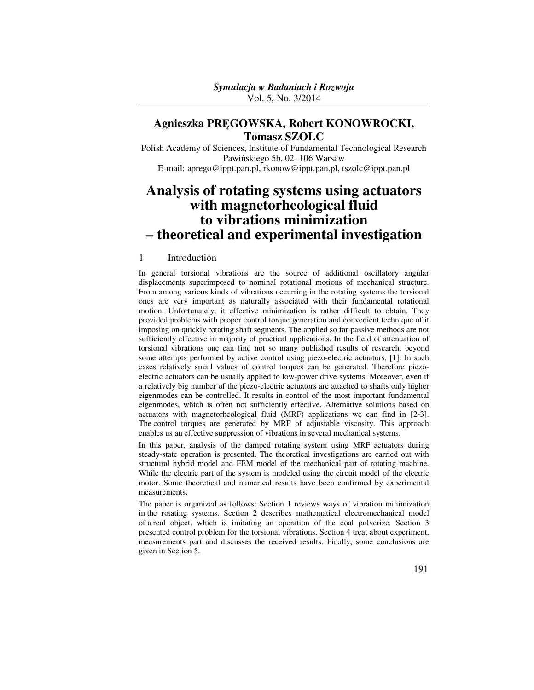# **Agnieszka PRĘGOWSKA, Robert KONOWROCKI, Tomasz SZOLC**

Polish Academy of Sciences, Institute of Fundamental Technological Research Pawińskiego 5b, 02- 106 Warsaw E-mail: aprego@ippt.pan.pl, rkonow@ippt.pan.pl, tszolc@ippt.pan.pl

# **Analysis of rotating systems using actuators with magnetorheological fluid to vibrations minimization – theoretical and experimental investigation**

### 1 Introduction

In general torsional vibrations are the source of additional oscillatory angular displacements superimposed to nominal rotational motions of mechanical structure. From among various kinds of vibrations occurring in the rotating systems the torsional ones are very important as naturally associated with their fundamental rotational motion. Unfortunately, it effective minimization is rather difficult to obtain. They provided problems with proper control torque generation and convenient technique of it imposing on quickly rotating shaft segments. The applied so far passive methods are not sufficiently effective in majority of practical applications. In the field of attenuation of torsional vibrations one can find not so many published results of research, beyond some attempts performed by active control using piezo-electric actuators, [1]. In such cases relatively small values of control torques can be generated. Therefore piezoelectric actuators can be usually applied to low-power drive systems. Moreover, even if a relatively big number of the piezo-electric actuators are attached to shafts only higher eigenmodes can be controlled. It results in control of the most important fundamental eigenmodes, which is often not sufficiently effective. Alternative solutions based on actuators with magnetorheological fluid (MRF) applications we can find in [2-3]. The control torques are generated by MRF of adjustable viscosity. This approach enables us an effective suppression of vibrations in several mechanical systems.

In this paper, analysis of the damped rotating system using MRF actuators during steady-state operation is presented. The theoretical investigations are carried out with structural hybrid model and FEM model of the mechanical part of rotating machine. While the electric part of the system is modeled using the circuit model of the electric motor. Some theoretical and numerical results have been confirmed by experimental measurements.

The paper is organized as follows: Section 1 reviews ways of vibration minimization in the rotating systems. Section 2 describes mathematical electromechanical model of a real object, which is imitating an operation of the coal pulverize. Section 3 presented control problem for the torsional vibrations. Section 4 treat about experiment, measurements part and discusses the received results. Finally, some conclusions are given in Section 5.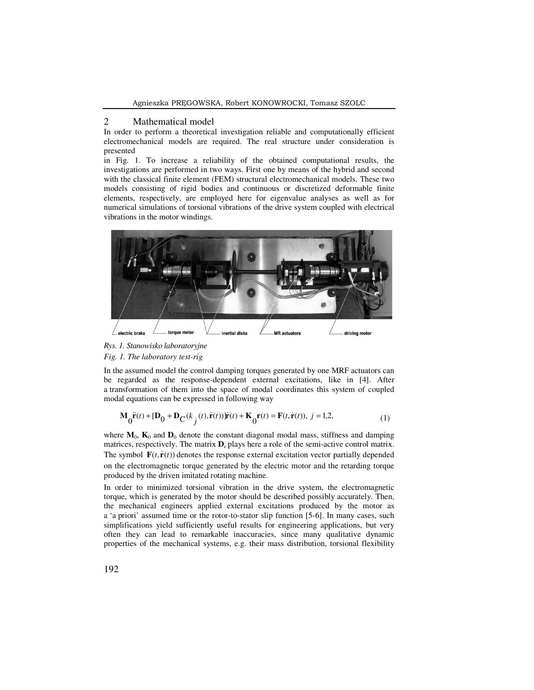#### 2 Mathematical model

In order to perform a theoretical investigation reliable and computationally efficient electromechanical models are required. The real structure under consideration is presented

in Fig. 1. To increase a reliability of the obtained computational results, the investigations are performed in two ways. First one by means of the hybrid and second with the classical finite element (FEM) structural electromechanical models. These two models consisting of rigid bodies and continuous or discretized deformable finite elements, respectively, are employed here for eigenvalue analyses as well as for numerical simulations of torsional vibrations of the drive system coupled with electrical vibrations in the motor windings.



## *Rys. 1. Stanowisko laboratoryjne Fig. 1. The laboratory test-rig*

In the assumed model the control damping torques generated by one MRF actuators can be regarded as the response-dependent external excitations, like in [4]. After a transformation of them into the space of modal coordinates this system of coupled modal equations can be expressed in following way

$$
\mathbf{M}_0 \ddot{\mathbf{r}}(t) + [\mathbf{D}_0 + \mathbf{D}_C(k_j(t), \dot{\mathbf{r}}(t))] \dot{\mathbf{r}}(t) + \mathbf{K}_0 \mathbf{r}(t) = \mathbf{F}(t, \dot{\mathbf{r}}(t)), j = 1, 2,
$$
\n(1)

where  $M_0$ ,  $K_0$  and  $D_0$  denote the constant diagonal modal mass, stiffness and damping matrices, respectively. The matrix  $D_c$  plays here a role of the semi-active control matrix. The symbol  $\mathbf{F}(t, \dot{\mathbf{r}}(t))$  denotes the response external excitation vector partially depended on the electromagnetic torque generated by the electric motor and the retarding torque produced by the driven imitated rotating machine.

In order to minimized torsional vibration in the drive system, the electromagnetic torque, which is generated by the motor should be described possibly accurately. Then, the mechanical engineers applied external excitations produced by the motor as a 'a priori' assumed time or the rotor-to-stator slip function [5-6]. In many cases, such simplifications yield sufficiently useful results for engineering applications, but very often they can lead to remarkable inaccuracies, since many qualitative dynamic properties of the mechanical systems, e.g. their mass distribution, torsional flexibility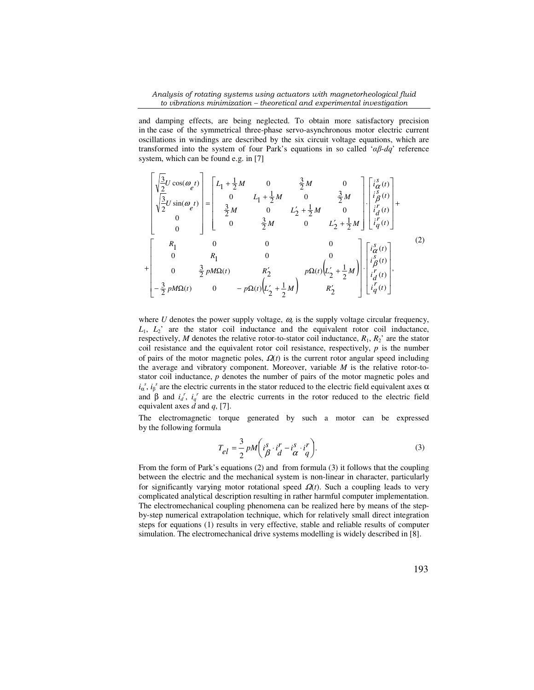*Analysis of rotating systems using actuators with magnetorheological fluid to vibrations minimization – theoretical and experimental investigation* 

and damping effects, are being neglected. To obtain more satisfactory precision in the case of the symmetrical three-phase servo-asynchronous motor electric current oscillations in windings are described by the six circuit voltage equations, which are transformed into the system of four Park's equations in so called '*αβ-dq*' reference system, which can be found e.g. in [7]

$$
\begin{bmatrix}\n\sqrt{\frac{3}{2}}U\cos(\omega_{e}t) \\
\sqrt{\frac{3}{2}}U\sin(\omega_{e}t) \\
0 \\
0\n\end{bmatrix} = \begin{bmatrix}\nL_{1} + \frac{1}{2}M & 0 & \frac{3}{2}M & 0 \\
0 & L_{1} + \frac{1}{2}M & 0 & \frac{3}{2}M \\
\frac{3}{2}M & 0 & L'_{2} + \frac{1}{2}M & 0 \\
0 & \frac{3}{2}M & 0 & L'_{2} + \frac{1}{2}M\n\end{bmatrix} \begin{bmatrix}\ni_{\alpha}^{s}(t) \\
i_{\beta}^{s}(t) \\
i_{\alpha}^{r}(t) \\
i_{d}^{r}(t) \\
i_{d}^{r}(t)\n\end{bmatrix} + \begin{bmatrix}\nR_{1} & 0 & 0 & 0 & 0 \\
0 & R_{1} & 0 & 0 & 0 \\
0 & \frac{3}{2}pM\Omega(t) & R'_{2} & p\Omega(t)\left(L'_{2} + \frac{1}{2}M\right) \\
-\frac{3}{2}pM\Omega(t) & 0 & -p\Omega(t)\left(L'_{2} + \frac{1}{2}M\right) & R'_{2}\n\end{bmatrix} \begin{bmatrix}\ni_{\alpha}^{s}(t) \\
i_{\beta}^{s}(t) \\
i_{\beta}^{s}(t) \\
i_{d}^{r}(t) \\
i_{d}^{r}(t)\n\end{bmatrix},
$$
\n(2)

where  $U$  denotes the power supply voltage,  $\omega_e$  is the supply voltage circular frequency,  $L_1$ ,  $L_2$ <sup>'</sup> are the stator coil inductance and the equivalent rotor coil inductance, respectively, *M* denotes the relative rotor-to-stator coil inductance,  $R_1$ ,  $R_2$ ' are the stator coil resistance and the equivalent rotor coil resistance, respectively,  $p$  is the number of pairs of the motor magnetic poles,  $\Omega(t)$  is the current rotor angular speed including the average and vibratory component. Moreover, variable *M* is the relative rotor-tostator coil inductance, *p* denotes the number of pairs of the motor magnetic poles and  $i_{\alpha}^{s}$ ,  $i_{\beta}^{s}$  are the electric currents in the stator reduced to the electric field equivalent axes  $\alpha$ and  $\beta$  and  $i_d^r$ ,  $i_q^r$  are the electric currents in the rotor reduced to the electric field equivalent axes  $\bar{d}$  and  $q$ , [7].

The electromagnetic torque generated by such a motor can be expressed by the following formula

$$
T_{el} = \frac{3}{2} p M \left( i \frac{s}{\beta} \cdot i \frac{r}{d} - i \frac{s}{\alpha} \cdot i \frac{r}{q} \right).
$$
 (3)

From the form of Park's equations (2) and from formula (3) it follows that the coupling between the electric and the mechanical system is non-linear in character, particularly for significantly varying motor rotational speed  $\Omega(t)$ . Such a coupling leads to very complicated analytical description resulting in rather harmful computer implementation. The electromechanical coupling phenomena can be realized here by means of the stepby-step numerical extrapolation technique, which for relatively small direct integration steps for equations (1) results in very effective, stable and reliable results of computer simulation. The electromechanical drive systems modelling is widely described in [8].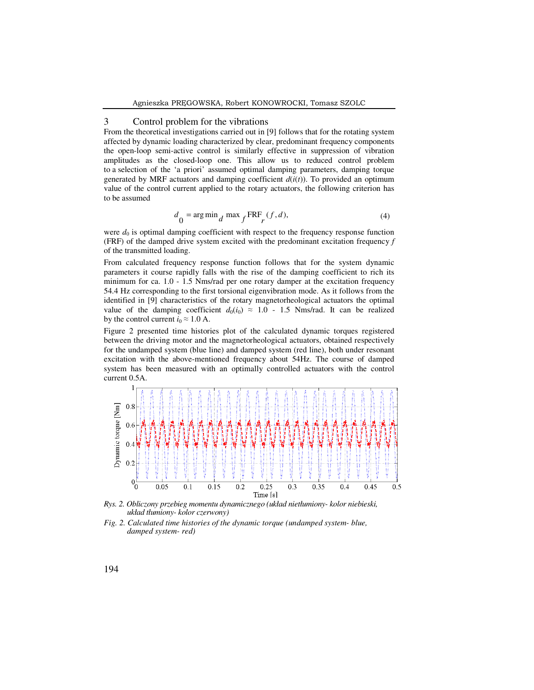### 3 Control problem for the vibrations

From the theoretical investigations carried out in [9] follows that for the rotating system affected by dynamic loading characterized by clear, predominant frequency components the open-loop semi-active control is similarly effective in suppression of vibration amplitudes as the closed-loop one. This allow us to reduced control problem to a selection of the 'a priori' assumed optimal damping parameters, damping torque generated by MRF actuators and damping coefficient  $d(i(t))$ . To provided an optimum value of the control current applied to the rotary actuators, the following criterion has to be assumed

$$
d_{0} = \arg\min_{d} \max_{f} \text{FRF}_{r}(f, d), \tag{4}
$$

were  $d_0$  is optimal damping coefficient with respect to the frequency response function (FRF) of the damped drive system excited with the predominant excitation frequency *f* of the transmitted loading.

From calculated frequency response function follows that for the system dynamic parameters it course rapidly falls with the rise of the damping coefficient to rich its minimum for ca. 1.0 - 1.5 Nms/rad per one rotary damper at the excitation frequency 54.4 Hz corresponding to the first torsional eigenvibration mode. As it follows from the identified in [9] characteristics of the rotary magnetorheological actuators the optimal value of the damping coefficient  $d_0(i_0) \approx 1.0 - 1.5$  Nms/rad. It can be realized by the control current  $i_0 \approx 1.0$  A.

Figure 2 presented time histories plot of the calculated dynamic torques registered between the driving motor and the magnetorheological actuators, obtained respectively for the undamped system (blue line) and damped system (red line), both under resonant excitation with the above-mentioned frequency about 54Hz. The course of damped system has been measured with an optimally controlled actuators with the control current 0.5A.



*Rys. 2. Obliczony przebieg momentu dynamicznego (układ nietłumiony- kolor niebieski, układ tłumiony- kolor czerwony)* 

*Fig. 2. Calculated time histories of the dynamic torque (undamped system- blue, damped system- red)*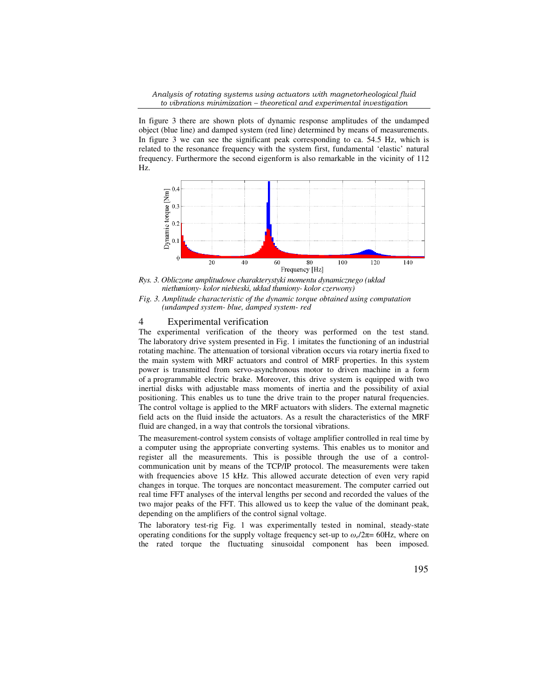*Analysis of rotating systems using actuators with magnetorheological fluid to vibrations minimization – theoretical and experimental investigation* 

In figure 3 there are shown plots of dynamic response amplitudes of the undamped object (blue line) and damped system (red line) determined by means of measurements. In figure 3 we can see the significant peak corresponding to ca. 54.5 Hz, which is related to the resonance frequency with the system first, fundamental 'elastic' natural frequency. Furthermore the second eigenform is also remarkable in the vicinity of 112 Hz.



*Rys. 3. Obliczone amplitudowe charakterystyki momentu dynamicznego (układ nietłumiony- kolor niebieski, układ tłumiony- kolor czerwony)* 

*Fig. 3. Amplitude characteristic of the dynamic torque obtained using computation (undamped system- blue, damped system- red* 

## 4 Experimental verification

The experimental verification of the theory was performed on the test stand. The laboratory drive system presented in Fig. 1 imitates the functioning of an industrial rotating machine. The attenuation of torsional vibration occurs via rotary inertia fixed to the main system with MRF actuators and control of MRF properties. In this system power is transmitted from servo-asynchronous motor to driven machine in a form of a programmable electric brake. Moreover, this drive system is equipped with two inertial disks with adjustable mass moments of inertia and the possibility of axial positioning. This enables us to tune the drive train to the proper natural frequencies. The control voltage is applied to the MRF actuators with sliders. The external magnetic field acts on the fluid inside the actuators. As a result the characteristics of the MRF fluid are changed, in a way that controls the torsional vibrations.

The measurement-control system consists of voltage amplifier controlled in real time by a computer using the appropriate converting systems. This enables us to monitor and register all the measurements. This is possible through the use of a controlcommunication unit by means of the TCP/IP protocol. The measurements were taken with frequencies above 15 kHz. This allowed accurate detection of even very rapid changes in torque. The torques are noncontact measurement. The computer carried out real time FFT analyses of the interval lengths per second and recorded the values of the two major peaks of the FFT. This allowed us to keep the value of the dominant peak, depending on the amplifiers of the control signal voltage.

The laboratory test-rig Fig. 1 was experimentally tested in nominal, steady-state operating conditions for the supply voltage frequency set-up to *ω<sup>e</sup>* /2π= 60Hz, where on the rated torque the fluctuating sinusoidal component has been imposed.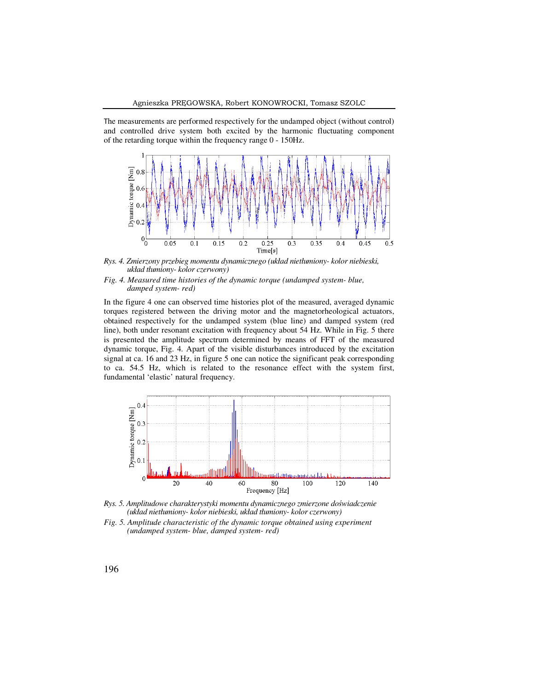The measurements are performed respectively for the undamped object (without control) and controlled drive system both excited by the harmonic fluctuating component of the retarding torque within the frequency range 0 - 150Hz.



*Rys. 4. Zmierzony przebieg momentu dynamicznego (układ nietłumiony- kolor niebieski, układ tłumiony- kolor czerwony)* 

#### *Fig. 4. Measured time histories of the dynamic torque (undamped system- blue, damped system- red)*

In the figure 4 one can observed time histories plot of the measured, averaged dynamic torques registered between the driving motor and the magnetorheological actuators, obtained respectively for the undamped system (blue line) and damped system (red line), both under resonant excitation with frequency about 54 Hz. While in Fig. 5 there is presented the amplitude spectrum determined by means of FFT of the measured dynamic torque, Fig. 4. Apart of the visible disturbances introduced by the excitation signal at ca. 16 and 23 Hz, in figure 5 one can notice the significant peak corresponding to ca. 54.5 Hz, which is related to the resonance effect with the system first, fundamental 'elastic' natural frequency.



*Rys. 5. Amplitudowe charakterystyki momentu dynamicznego zmierzone doświadczenie (układ nietłumiony- kolor niebieski, układ tłumiony- kolor czerwony)* 

*Fig. 5. Amplitude characteristic of the dynamic torque obtained using experiment (undamped system- blue, damped system- red)*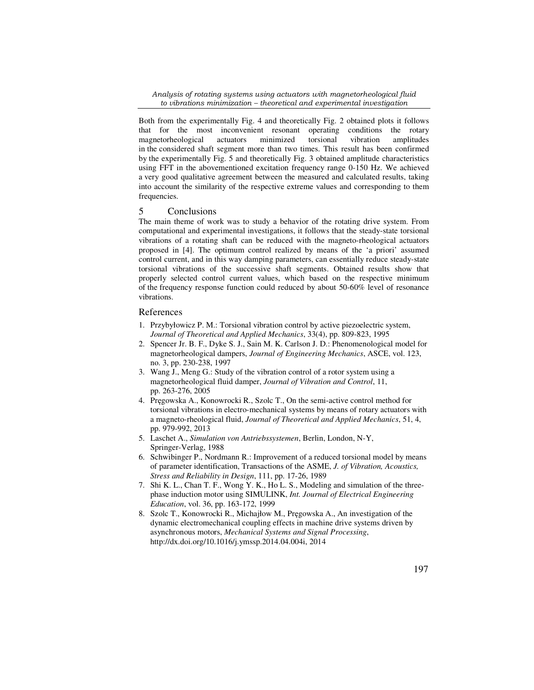*Analysis of rotating systems using actuators with magnetorheological fluid to vibrations minimization – theoretical and experimental investigation* 

Both from the experimentally Fig. 4 and theoretically Fig. 2 obtained plots it follows that for the most inconvenient resonant operating conditions the rotary magnetorheological actuators minimized torsional vibration amplitudes in the considered shaft segment more than two times. This result has been confirmed by the experimentally Fig. 5 and theoretically Fig. 3 obtained amplitude characteristics using FFT in the abovementioned excitation frequency range 0-150 Hz. We achieved a very good qualitative agreement between the measured and calculated results, taking into account the similarity of the respective extreme values and corresponding to them frequencies.

# 5 Conclusions

The main theme of work was to study a behavior of the rotating drive system. From computational and experimental investigations, it follows that the steady-state torsional vibrations of a rotating shaft can be reduced with the magneto-rheological actuators proposed in [4]. The optimum control realized by means of the 'a priori' assumed control current, and in this way damping parameters, can essentially reduce steady-state torsional vibrations of the successive shaft segments. Obtained results show that properly selected control current values, which based on the respective minimum of the frequency response function could reduced by about 50-60% level of resonance vibrations.

#### References

- 1. Przybyłowicz P. M.: Torsional vibration control by active piezoelectric system, *Journal of Theoretical and Applied Mechanics*, 33(4), pp. 809-823, 1995
- 2. Spencer Jr. B. F., Dyke S. J., Sain M. K. Carlson J. D.: Phenomenological model for magnetorheological dampers, *Journal of Engineering Mechanics*, ASCE, vol. 123, no. 3, pp. 230-238, 1997
- 3. Wang J., Meng G.: Study of the vibration control of a rotor system using a magnetorheological fluid damper, *Journal of Vibration and Control*, 11, pp. 263-276, 2005
- 4. Pręgowska A., Konowrocki R., Szolc T., On the semi-active control method for torsional vibrations in electro-mechanical systems by means of rotary actuators with a magneto-rheological fluid, *Journal of Theoretical and Applied Mechanics*, 51, 4, pp. 979-992, 2013
- 5. Laschet A., *Simulation von Antriebssystemen*, Berlin, London, N-Y, Springer-Verlag, 1988
- 6. Schwibinger P., Nordmann R.: Improvement of a reduced torsional model by means of parameter identification, Transactions of the ASME, *J. of Vibration, Acoustics, Stress and Reliability in Design*, 111, pp. 17-26, 1989
- 7. Shi K. L., Chan T. F., Wong Y. K., Ho L. S., Modeling and simulation of the threephase induction motor using SIMULINK, *Int. Journal of Electrical Engineering Education*, vol. 36, pp. 163-172, 1999
- 8. Szolc T., Konowrocki R., Michajłow M., Pręgowska A., An investigation of the dynamic electromechanical coupling effects in machine drive systems driven by asynchronous motors, *Mechanical Systems and Signal Processing*, http://dx.doi.org/10.1016/j.ymssp.2014.04.004i, 2014